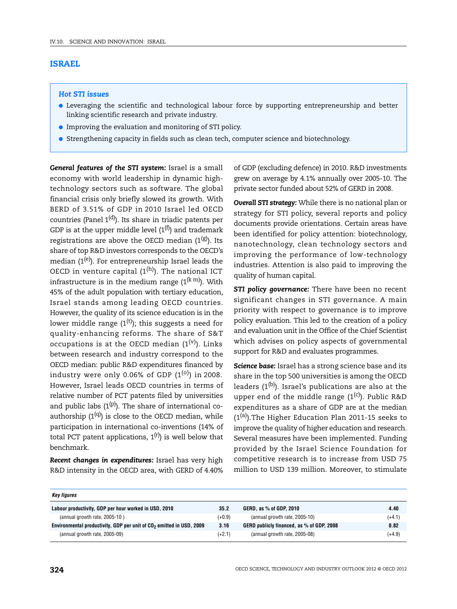# **ISRAEL**

# *Hot STI issues*

- Leveraging the scientific and technological labour force by supporting entrepreneurship and better linking scientific research and private industry.
- Improving the evaluation and monitoring of STI policy.
- Strengthening capacity in fields such as clean tech, computer science and biotechnology.

*General features of the STI system:* Israel is a small economy with world leadership in dynamic hightechnology sectors such as software. The global financial crisis only briefly slowed its growth. With BERD of 3.51% of GDP in 2010 Israel led OECD countries (Panel  $1<sup>(d)</sup>$ ). Its share in triadic patents per GDP is at the upper middle level  $(1^{(f)})$  and trademark registrations are above the OECD median  $(1^{(g)})$ . Its share of top R&D investors corresponds to the OECD's median  $(1^{(e)})$ . For entrepreneurship Israel leads the OECD in venture capital  $(1^{(h)})$ . The national ICT infrastructure is in the medium range  $(1^{(k m)})$ . With 45% of the adult population with tertiary education, Israel stands among leading OECD countries. However, the quality of its science education is in the lower middle range  $(1<sup>(t)</sup>)$ ; this suggests a need for quality-enhancing reforms. The share of S&T occupations is at the OECD median  $(1^{(v)})$ . Links between research and industry correspond to the OECD median: public R&D expenditures financed by industry were only 0.06% of GDP  $(1^{(0)})$  in 2008. However, Israel leads OECD countries in terms of relative number of PCT patents filed by universities and public labs  $(1^{(p)})$ . The share of international coauthorship  $(1^{(q)})$  is close to the OECD median, while participation in international co-inventions (14% of total PCT patent applications,  $1^{(r)}$ ) is well below that benchmark.

*Recent changes in expenditures:* Israel has very high R&D intensity in the OECD area, with GERD of 4.40%

of GDP (excluding defence) in 2010. R&D investments grew on average by 4.1% annually over 2005-10. The private sector funded about 52% of GERD in 2008.

*Overall STI strategy:* While there is no national plan or strategy for STI policy, several reports and policy documents provide orientations. Certain areas have been identified for policy attention: biotechnology, nanotechnology, clean technology sectors and improving the performance of low-technology industries. Attention is also paid to improving the quality of human capital.

**STI policy governance:** There have been no recent significant changes in STI governance. A main priority with respect to governance is to improve policy evaluation. This led to the creation of a policy and evaluation unit in the Office of the Chief Scientist which advises on policy aspects of governmental support for R&D and evaluates programmes.

*Science base:* Israel has a strong science base and its share in the top 500 universities is among the OECD leaders  $(1^{(b)})$ . Israel's publications are also at the upper end of the middle range  $(1^{(c)})$ . Public R&D expenditures as a share of GDP are at the median  $(1<sup>(a)</sup>)$ . The Higher Education Plan 2011-15 seeks to improve the quality of higher education and research. Several measures have been implemented. Funding provided by the Israel Science Foundation for competitive research is to increase from USD 75 million to USD 139 million. Moreover, to stimulate

| Key figures                                                                      |          |                                           |          |
|----------------------------------------------------------------------------------|----------|-------------------------------------------|----------|
| Labour productivity, GDP per hour worked in USD, 2010                            | 35.2     | GERD, as % of GDP, 2010                   | 4.40     |
| (annual growth rate, 2005-10)                                                    | $(+0.9)$ | (annual growth rate, 2005-10)             | $(+4.1)$ |
| Environmental productivity, GDP per unit of CO <sub>2</sub> emitted in USD, 2009 | 3.16     | GERD publicly financed, as % of GDP, 2008 | 0.82     |
| (annual growth rate, 2005-09)                                                    | $(+2.1)$ | (annual growth rate, 2005-08)             | $(+4.9)$ |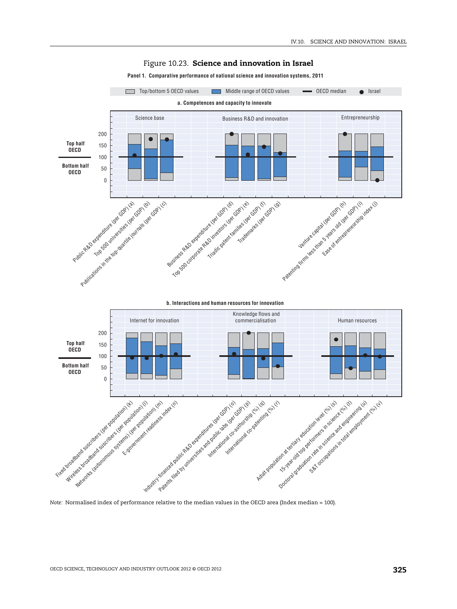

## Figure 10.23. **Science and innovation in Israel**

### **Panel 1. Comparative performance of national science and innovation systems, 2011**

*Note:* Normalised index of performance relative to the median values in the OECD area (Index median = 100).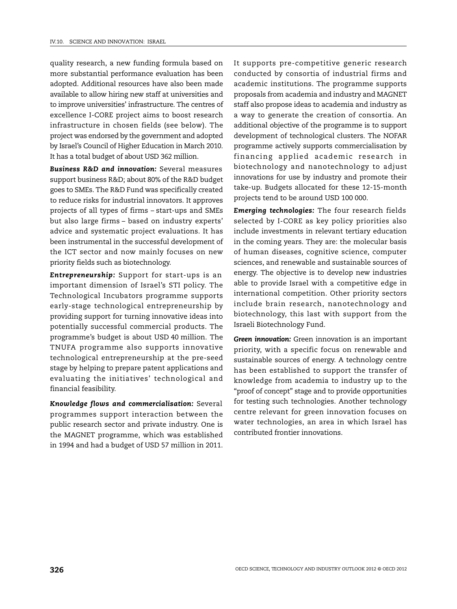quality research, a new funding formula based on more substantial performance evaluation has been adopted. Additional resources have also been made available to allow hiring new staff at universities and to improve universities' infrastructure. The centres of excellence I-CORE project aims to boost research infrastructure in chosen fields (see below). The project was endorsed by the government and adopted by Israel's Council of Higher Education in March 2010. It has a total budget of about USD 362 million.

*Business R&D and innovation:* Several measures support business R&D; about 80% of the R&D budget goes to SMEs. The R&D Fund was specifically created to reduce risks for industrial innovators. It approves projects of all types of firms – start-ups and SMEs but also large firms – based on industry experts' advice and systematic project evaluations. It has been instrumental in the successful development of the ICT sector and now mainly focuses on new priority fields such as biotechnology.

*Entrepreneurship:* Support for start-ups is an important dimension of Israel's STI policy. The Technological Incubators programme supports early-stage technological entrepreneurship by providing support for turning innovative ideas into potentially successful commercial products. The programme's budget is about USD 40 million. The TNUFA programme also supports innovative technological entrepreneurship at the pre-seed stage by helping to prepare patent applications and evaluating the initiatives' technological and financial feasibility.

*Knowledge flows and commercialisation:* Several programmes support interaction between the public research sector and private industry. One is the MAGNET programme, which was established in 1994 and had a budget of USD 57 million in 2011.

It supports pre-competitive generic research conducted by consortia of industrial firms and academic institutions. The programme supports proposals from academia and industry and MAGNET staff also propose ideas to academia and industry as a way to generate the creation of consortia. An additional objective of the programme is to support development of technological clusters. The NOFAR programme actively supports commercialisation by financing applied academic research in biotechnology and nanotechnology to adjust innovations for use by industry and promote their take-up. Budgets allocated for these 12-15-month projects tend to be around USD 100 000.

*Emerging technologies:* The four research fields selected by I-CORE as key policy priorities also include investments in relevant tertiary education in the coming years. They are: the molecular basis of human diseases*,* cognitive science, computer sciences, and renewable and sustainable sources of energy. The objective is to develop new industries able to provide Israel with a competitive edge in international competition. Other priority sectors include brain research, nanotechnology and biotechnology, this last with support from the Israeli Biotechnology Fund.

*Green innovation:* Green innovation is an important priority, with a specific focus on renewable and sustainable sources of energy. A technology centre has been established to support the transfer of knowledge from academia to industry up to the "proof of concept" stage and to provide opportunities for testing such technologies. Another technology centre relevant for green innovation focuses on water technologies, an area in which Israel has contributed frontier innovations.